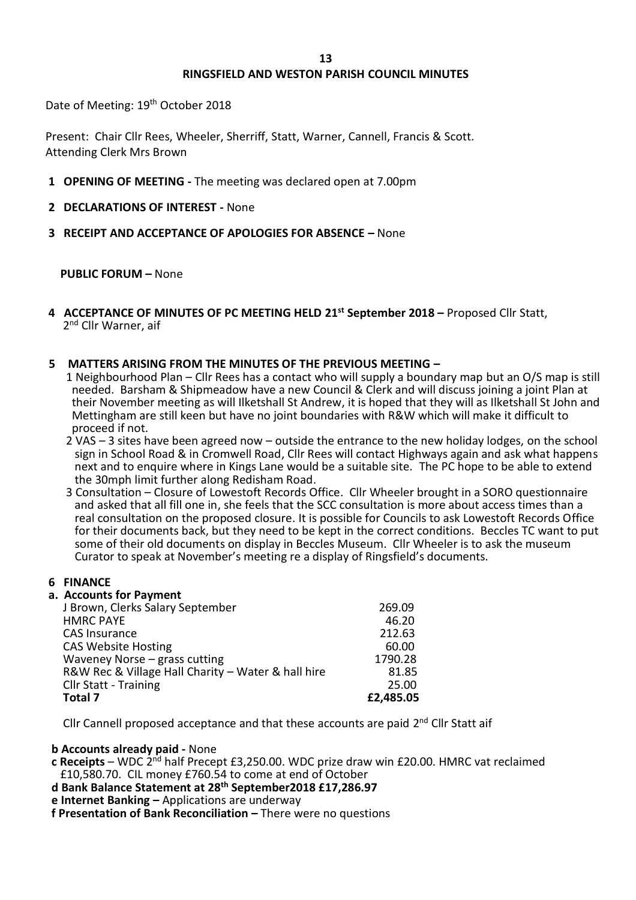# **RINGSFIELD AND WESTON PARISH COUNCIL MINUTES**

Date of Meeting: 19<sup>th</sup> October 2018

Present: Chair Cllr Rees, Wheeler, Sherriff, Statt, Warner, Cannell, Francis & Scott. Attending Clerk Mrs Brown

- **1 OPENING OF MEETING -** The meeting was declared open at 7.00pm
- **2 DECLARATIONS OF INTEREST -** None
- **3 RECEIPT AND ACCEPTANCE OF APOLOGIES FOR ABSENCE –** None

 **PUBLIC FORUM –** None

**4 ACCEPTANCE OF MINUTES OF PC MEETING HELD 21st September 2018 –** Proposed Cllr Statt, 2<sup>nd</sup> Cllr Warner, aif

## **5 MATTERS ARISING FROM THE MINUTES OF THE PREVIOUS MEETING –**

 1 Neighbourhood Plan – Cllr Rees has a contact who will supply a boundary map but an O/S map is still needed. Barsham & Shipmeadow have a new Council & Clerk and will discuss joining a joint Plan at their November meeting as will Ilketshall St Andrew, it is hoped that they will as Ilketshall St John and Mettingham are still keen but have no joint boundaries with R&W which will make it difficult to proceed if not.

- 2 VAS 3 sites have been agreed now outside the entrance to the new holiday lodges, on the school sign in School Road & in Cromwell Road, Cllr Rees will contact Highways again and ask what happens next and to enquire where in Kings Lane would be a suitable site. The PC hope to be able to extend the 30mph limit further along Redisham Road.
- 3 Consultation Closure of Lowestoft Records Office. Cllr Wheeler brought in a SORO questionnaire and asked that all fill one in, she feels that the SCC consultation is more about access times than a real consultation on the proposed closure. It is possible for Councils to ask Lowestoft Records Office for their documents back, but they need to be kept in the correct conditions. Beccles TC want to put some of their old documents on display in Beccles Museum. Cllr Wheeler is to ask the museum Curator to speak at November's meeting re a display of Ringsfield's documents.

#### **6 FINANCE**

## **a. Accounts for Payment**

| Total 7                                            | £2,485.05 |
|----------------------------------------------------|-----------|
| <b>Cllr Statt - Training</b>                       | 25.00     |
| R&W Rec & Village Hall Charity - Water & hall hire | 81.85     |
| Waveney Norse $-$ grass cutting                    | 1790.28   |
| <b>CAS Website Hosting</b>                         | 60.00     |
| <b>CAS Insurance</b>                               | 212.63    |
| <b>HMRC PAYE</b>                                   | 46.20     |
| J Brown, Clerks Salary September                   | 269.09    |
|                                                    |           |

Cllr Cannell proposed acceptance and that these accounts are paid 2<sup>nd</sup> Cllr Statt aif

#### **b Accounts already paid -** None

 **c Receipts** – WDC 2nd half Precept £3,250.00. WDC prize draw win £20.00. HMRC vat reclaimed £10,580.70. CIL money £760.54 to come at end of October

 **d Bank Balance Statement at 28th September2018 £17,286.97**

 **e Internet Banking –** Applications are underway

**f Presentation of Bank Reconciliation –** There were no questions